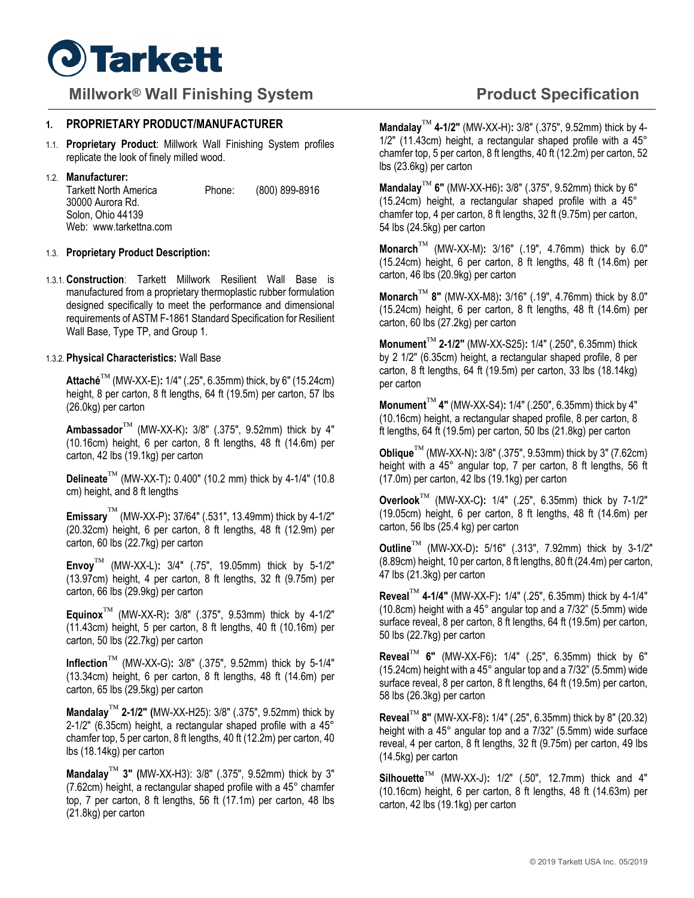

# **Millwork<sup>®</sup> Wall Finishing System <b>Product Specification Product Specification**

# **1. PROPRIETARY PRODUCT/MANUFACTURER**

1.1. **Proprietary Product**: Millwork Wall Finishing System profiles replicate the look of finely milled wood.

#### 1.2. **Manufacturer:**

| <b>Tarkett North America</b> | Phone: | (800) 899-8916 |
|------------------------------|--------|----------------|
| 30000 Aurora Rd.             |        |                |
| Solon, Ohio 44139            |        |                |
| Web: www.tarkettna.com       |        |                |

#### 1.3. **Proprietary Product Description:**

1.3.1. **Construction**: Tarkett Millwork Resilient Wall Base is manufactured from a proprietary thermoplastic rubber formulation designed specifically to meet the performance and dimensional requirements of ASTM F-1861 Standard Specification for Resilient Wall Base, Type TP, and Group 1.

# 1.3.2. **Physical Characteristics:** Wall Base

**Attaché** (MW-XX-E)**:** 1/4″ (.25", 6.35mm) thick, by 6″ (15.24cm) height, 8 per carton, 8 ft lengths, 64 ft (19.5m) per carton, 57 lbs (26.0kg) per carton

**Ambassador** (MW-XX-K)**:** 3/8″ (.375", 9.52mm) thick by 4″ (10.16cm) height, 6 per carton, 8 ft lengths, 48 ft (14.6m) per carton, 42 lbs (19.1kg) per carton

**Delineate** (MW-XX-T)**:** 0.400″ (10.2 mm) thick by 4-1/4″ (10.8 cm) height, and 8 ft lengths

**Emissary** (MW-XX-P)**:** 37/64" (.531″, 13.49mm) thick by 4-1/2″ (20.32cm) height, 6 per carton, 8 ft lengths, 48 ft (12.9m) per carton, 60 lbs (22.7kg) per carton

**Envoy** (MW-XX-L)**:** 3/4″ (.75", 19.05mm) thick by 5-1/2″ (13.97cm) height, 4 per carton, 8 ft lengths, 32 ft (9.75m) per carton, 66 lbs (29.9kg) per carton

**Equinox** (MW-XX-R)**:** 3/8″ (.375", 9.53mm) thick by 4-1/2″ (11.43cm) height, 5 per carton, 8 ft lengths, 40 ft (10.16m) per carton, 50 lbs (22.7kg) per carton

**Inflection** (MW-XX-G)**:** 3/8″ (.375", 9.52mm) thick by 5-1/4″ (13.34cm) height, 6 per carton, 8 ft lengths, 48 ft (14.6m) per carton, 65 lbs (29.5kg) per carton

**Mandalay 2-1/2″ (**MW-XX-H25): 3/8″ (.375", 9.52mm) thick by 2-1/2″ (6.35cm) height, a rectangular shaped profile with a 45° chamfer top, 5 per carton, 8 ft lengths, 40 ft (12.2m) per carton, 40 lbs (18.14kg) per carton

**Mandalay 3″ (**MW-XX-H3): 3/8″ (.375", 9.52mm) thick by 3″ (7.62cm) height, a rectangular shaped profile with a 45° chamfer top, 7 per carton, 8 ft lengths, 56 ft (17.1m) per carton, 48 lbs (21.8kg) per carton

**Mandalay 4-1/2″** (MW-XX-H)**:** 3/8″ (.375", 9.52mm) thick by 4- 1/2" (11.43cm) height, a rectangular shaped profile with a 45° chamfer top, 5 per carton, 8 ft lengths, 40 ft (12.2m) per carton, 52 lbs (23.6kg) per carton

**Mandalay 6″** (MW-XX-H6)**:** 3/8″ (.375", 9.52mm) thick by 6″ (15.24cm) height, a rectangular shaped profile with a 45° chamfer top, 4 per carton, 8 ft lengths, 32 ft (9.75m) per carton, 54 lbs (24.5kg) per carton

**Monarch** (MW-XX-M)**:** 3/16″ (.19", 4.76mm) thick by 6.0″ (15.24cm) height, 6 per carton, 8 ft lengths, 48 ft (14.6m) per carton, 46 lbs (20.9kg) per carton

**Monarch 8"** (MW-XX-M8)**:** 3/16″ (.19", 4.76mm) thick by 8.0″ (15.24cm) height, 6 per carton, 8 ft lengths, 48 ft (14.6m) per carton, 60 lbs (27.2kg) per carton

**Monument 2-1/2″** (MW-XX-S25)**:** 1/4″ (.250", 6.35mm) thick by 2 1/2″ (6.35cm) height, a rectangular shaped profile, 8 per carton, 8 ft lengths, 64 ft (19.5m) per carton, 33 lbs (18.14kg) per carton

**Monument 4″** (MW-XX-S4)**:** 1/4″ (.250", 6.35mm) thick by 4″ (10.16cm) height, a rectangular shaped profile, 8 per carton, 8 ft lengths, 64 ft (19.5m) per carton, 50 lbs (21.8kg) per carton

**Oblique** (MW-XX-N)**:** 3/8″ (.375", 9.53mm) thick by 3″ (7.62cm) height with a 45° angular top, 7 per carton, 8 ft lengths, 56 ft (17.0m) per carton, 42 lbs (19.1kg) per carton

**Overlook** (MW-XX-C**):** 1/4″ (.25", 6.35mm) thick by 7-1/2″ (19.05cm) height, 6 per carton, 8 ft lengths, 48 ft (14.6m) per carton, 56 lbs (25.4 kg) per carton

**Outline** (MW-XX-D)**:** 5/16″ (.313", 7.92mm) thick by 3-1/2″ (8.89cm) height, 10 per carton, 8 ft lengths, 80 ft (24.4m) per carton, 47 lbs (21.3kg) per carton

**Reveal 4-1/4″** (MW-XX-F)**:** 1/4″ (.25", 6.35mm) thick by 4-1/4″ (10.8cm) height with a 45° angular top and a 7/32" (5.5mm) wide surface reveal, 8 per carton, 8 ft lengths, 64 ft (19.5m) per carton, 50 lbs (22.7kg) per carton

**Reveal 6″** (MW-XX-F6)**:** 1/4″ (.25", 6.35mm) thick by 6″ (15.24cm) height with a 45° angular top and a 7/32" (5.5mm) wide surface reveal, 8 per carton, 8 ft lengths, 64 ft (19.5m) per carton, 58 lbs (26.3kg) per carton

**Reveal 8″** (MW-XX-F8)**:** 1/4″ (.25", 6.35mm) thick by 8″ (20.32) height with a 45° angular top and a 7/32" (5.5mm) wide surface reveal, 4 per carton, 8 ft lengths, 32 ft (9.75m) per carton, 49 lbs (14.5kg) per carton

**Silhouette** (MW-XX-J)**:** 1/2″ (.50", 12.7mm) thick and 4″ (10.16cm) height, 6 per carton, 8 ft lengths, 48 ft (14.63m) per carton, 42 lbs (19.1kg) per carton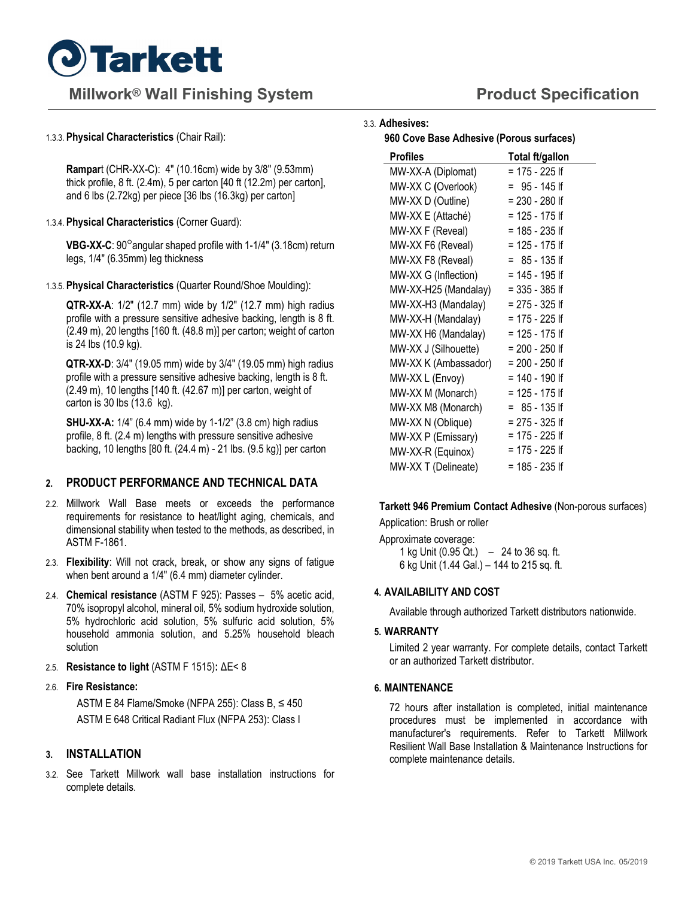

# **Millwork<sup>®</sup> Wall Finishing System <b>Product Specification Product Specification**

#### 1.3.3. **Physical Characteristics** (Chair Rail):

**Rampar**t (CHR-XX-C): 4" (10.16cm) wide by 3/8" (9.53mm) thick profile, 8 ft. (2.4m), 5 per carton [40 ft (12.2m) per carton], and 6 lbs (2.72kg) per piece [36 lbs (16.3kg) per carton]

#### 1.3.4. **Physical Characteristics** (Corner Guard):

**VBG-XX-C**: 90<sup>o</sup> angular shaped profile with 1-1/4" (3.18cm) return legs, 1/4" (6.35mm) leg thickness

#### 1.3.5. **Physical Characteristics** (Quarter Round/Shoe Moulding):

**QTR-XX-A**: 1/2" (12.7 mm) wide by 1/2" (12.7 mm) high radius profile with a pressure sensitive adhesive backing, length is 8 ft. (2.49 m), 20 lengths [160 ft. (48.8 m)] per carton; weight of carton is 24 lbs (10.9 kg).

**QTR-XX-D**: 3/4" (19.05 mm) wide by 3/4" (19.05 mm) high radius profile with a pressure sensitive adhesive backing, length is 8 ft. (2.49 m), 10 lengths [140 ft. (42.67 m)] per carton, weight of carton is 30 lbs (13.6 kg).

**SHU-XX-A:** 1/4" (6.4 mm) wide by 1-1/2" (3.8 cm) high radius profile, 8 ft. (2.4 m) lengths with pressure sensitive adhesive backing, 10 lengths [80 ft. (24.4 m) - 21 lbs. (9.5 kg)] per carton

# **2. PRODUCT PERFORMANCE AND TECHNICAL DATA**

- 2.2. Millwork Wall Base meets or exceeds the performance requirements for resistance to heat/light aging, chemicals, and dimensional stability when tested to the methods, as described, in ASTM F-1861.
- 2.3. **Flexibility**: Will not crack, break, or show any signs of fatigue when bent around a 1/4" (6.4 mm) diameter cylinder.
- 2.4. **Chemical resistance** (ASTM F 925): Passes 5% acetic acid, 70% isopropyl alcohol, mineral oil, 5% sodium hydroxide solution, 5% hydrochloric acid solution, 5% sulfuric acid solution, 5% household ammonia solution, and 5.25% household bleach solution
- 2.5. **Resistance to light** (ASTM F 1515)**:** ΔE< 8
- 2.6. **Fire Resistance:**

ASTM E 84 Flame/Smoke (NFPA 255): Class B,  $\leq 450$ ASTM E 648 Critical Radiant Flux (NFPA 253): Class I

# **3. INSTALLATION**

3.2. See Tarkett Millwork wall base installation instructions for complete details.

# 3.3. **Adhesives:**

**960 Cove Base Adhesive (Porous surfaces)** 

| <b>Profiles</b>      | Total ft/gallon  |
|----------------------|------------------|
| MW-XX-A (Diplomat)   | = 175 - 225 lf   |
| MW-XX C (Overlook)   | = 95 - 145 lf    |
| MW-XX D (Outline)    | $= 230 - 280$ If |
| MW-XX E (Attaché)    | $= 125 - 175$ If |
| MW-XX F (Reveal)     | = 185 - 235 lf   |
| MW-XX F6 (Reveal)    | = 125 - 175 lf   |
| MW-XX F8 (Reveal)    | $= 85 - 135$ If  |
| MW-XX G (Inflection) | = 145 - 195 lf   |
| MW-XX-H25 (Mandalay) | = 335 - 385 lf   |
| MW-XX-H3 (Mandalay)  | = 275 - 325 lf   |
| MW-XX-H (Mandalay)   | = 175 - 225 lf   |
| MW-XX H6 (Mandalay)  | $= 125 - 175$ If |
| MW-XX J (Silhouette) | = 200 - 250 lf   |
| MW-XX K (Ambassador) | = 200 - 250 lf   |
| MW-XX L (Envoy)      | = 140 - 190 lf   |
| MW-XX M (Monarch)    | = 125 - 175 If   |
| MW-XX M8 (Monarch)   | = 85 - 135 lf    |
| MW-XX N (Oblique)    | $= 275 - 325$ If |
| MW-XX P (Emissary)   | = 175 - 225 lf   |
| MW-XX-R (Equinox)    | = 175 - 225 lf   |
| MW-XX T (Delineate)  | = 185 - 235 lf   |

# **Tarkett 946 Premium Contact Adhesive** (Non-porous surfaces)

Application: Brush or roller

Approximate coverage: 1 kg Unit (0.95 Qt.) – 24 to 36 sq. ft. 6 kg Unit (1.44 Gal.) – 144 to 215 sq. ft.

# **4. AVAILABILITY AND COST**

Available through authorized Tarkett distributors nationwide.

# **5. WARRANTY**

Limited 2 year warranty. For complete details, contact Tarkett or an authorized Tarkett distributor.

#### **6. MAINTENANCE**

72 hours after installation is completed, initial maintenance procedures must be implemented in accordance with manufacturer's requirements. Refer to Tarkett Millwork Resilient Wall Base Installation & Maintenance Instructions for complete maintenance details.